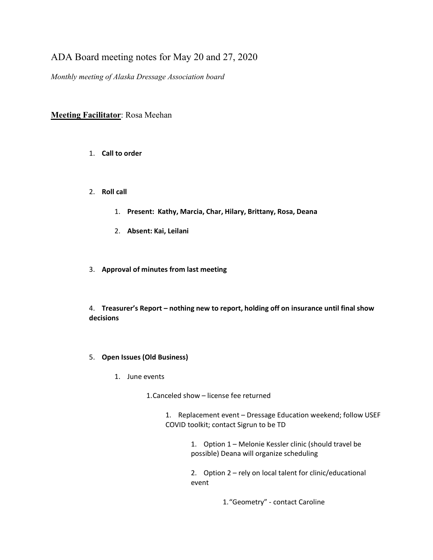## ADA Board meeting notes for May 20 and 27, 2020

*Monthly meeting of Alaska Dressage Association board*

## **Meeting Facilitator**: Rosa Meehan

- 1. **Call to order**
- 2. **Roll call**
	- 1. **Present: Kathy, Marcia, Char, Hilary, Brittany, Rosa, Deana**
	- 2. **Absent: Kai, Leilani**
- 3. **Approval of minutes from last meeting**

4. **Treasurer's Report – nothing new to report, holding off on insurance until final show decisions**

- 5. **Open Issues (Old Business)**
	- 1. June events

1.Canceled show – license fee returned

1. Replacement event – Dressage Education weekend; follow USEF COVID toolkit; contact Sigrun to be TD

> 1. Option 1 – Melonie Kessler clinic (should travel be possible) Deana will organize scheduling

2. Option 2 – rely on local talent for clinic/educational event

1."Geometry" - contact Caroline